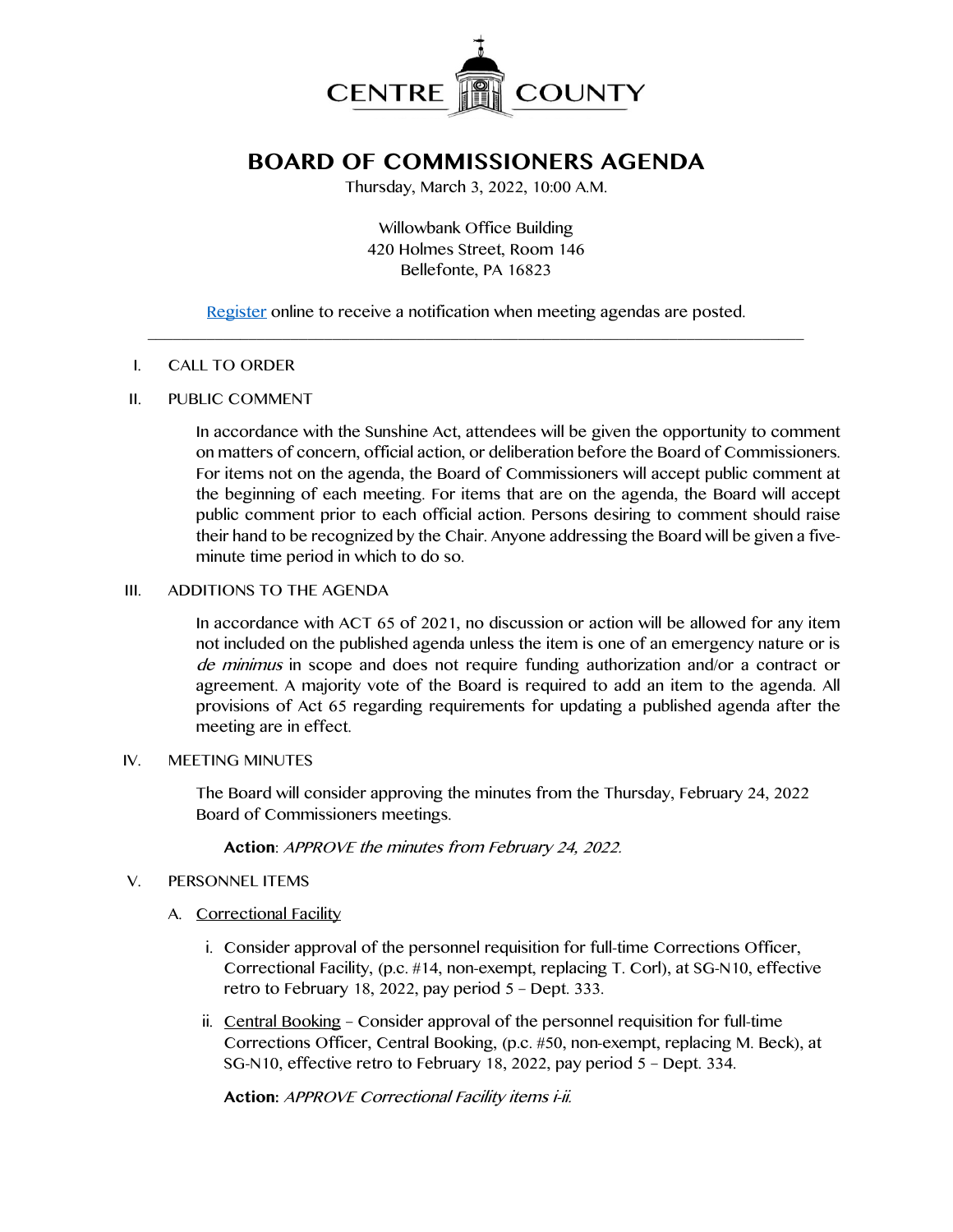

# **BOARD OF COMMISSIONERS AGENDA**

Thursday, March 3, 2022, 10:00 A.M.

Willowbank Office Building 420 Holmes Street, Room 146 Bellefonte, PA 16823

[Register](http://www.centrecountypa.gov/AgendaCenter) online to receive a notification when meeting agendas are posted.  $\mathcal{L} = \{ \mathcal{L} = \{ \mathcal{L} \mid \mathcal{L} = \{ \mathcal{L} \mid \mathcal{L} = \{ \mathcal{L} \mid \mathcal{L} = \{ \mathcal{L} \mid \mathcal{L} = \{ \mathcal{L} \mid \mathcal{L} = \{ \mathcal{L} \mid \mathcal{L} = \{ \mathcal{L} \mid \mathcal{L} = \{ \mathcal{L} \mid \mathcal{L} = \{ \mathcal{L} \mid \mathcal{L} = \{ \mathcal{L} \mid \mathcal{L} = \{ \mathcal{L} \mid \mathcal{L} = \{ \mathcal{L} \mid \mathcal{L} =$ 

#### I. CALL TO ORDER

### II. PUBLIC COMMENT

In accordance with the Sunshine Act, attendees will be given the opportunity to comment on matters of concern, official action, or deliberation before the Board of Commissioners. For items not on the agenda, the Board of Commissioners will accept public comment at the beginning of each meeting. For items that are on the agenda, the Board will accept public comment prior to each official action. Persons desiring to comment should raise their hand to be recognized by the Chair. Anyone addressing the Board will be given a fiveminute time period in which to do so.

## III. ADDITIONS TO THE AGENDA

In accordance with ACT 65 of 2021, no discussion or action will be allowed for any item not included on the published agenda unless the item is one of an emergency nature or is de minimus in scope and does not require funding authorization and/or a contract or agreement. A majority vote of the Board is required to add an item to the agenda. All provisions of Act 65 regarding requirements for updating a published agenda after the meeting are in effect.

### IV. MEETING MINUTES

The Board will consider approving the minutes from the Thursday, February 24, 2022 Board of Commissioners meetings.

**Action**: APPROVE the minutes from February 24, 2022.

## V. PERSONNEL ITEMS

## A. Correctional Facility

- i. Consider approval of the personnel requisition for full-time Corrections Officer, Correctional Facility, (p.c. #14, non-exempt, replacing T. Corl), at SG-N10, effective retro to February 18, 2022, pay period 5 – Dept. 333.
- ii. Central Booking Consider approval of the personnel requisition for full-time Corrections Officer, Central Booking, (p.c. #50, non-exempt, replacing M. Beck), at SG-N10, effective retro to February 18, 2022, pay period 5 – Dept. 334.

**Action:** APPROVE Correctional Facility items i-ii.